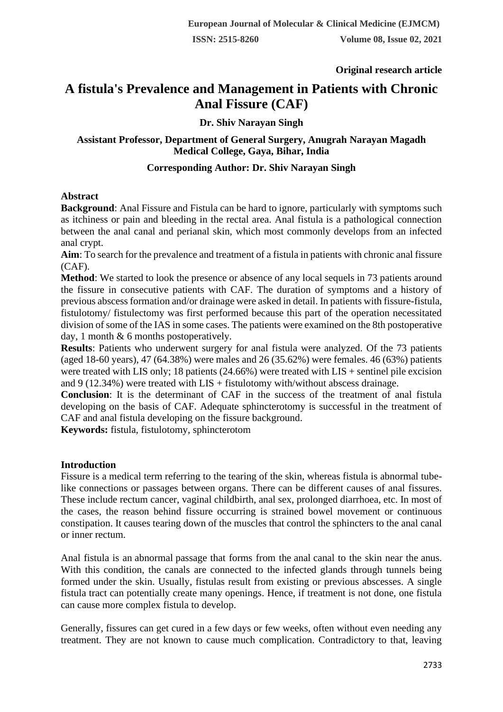**Original research article** 

# **A fistula's Prevalence and Management in Patients with Chronic Anal Fissure (CAF)**

## **Dr. Shiv Narayan Singh**

### **Assistant Professor, Department of General Surgery, Anugrah Narayan Magadh Medical College, Gaya, Bihar, India**

## **Corresponding Author: Dr. Shiv Narayan Singh**

#### **Abstract**

**Background**: Anal Fissure and Fistula can be hard to ignore, particularly with symptoms such as itchiness or pain and bleeding in the rectal area. Anal fistula is a pathological connection between the anal canal and perianal skin, which most commonly develops from an infected anal crypt.

**Aim**: To search for the prevalence and treatment of a fistula in patients with chronic anal fissure  $(CAF)$ .

**Method**: We started to look the presence or absence of any local sequels in 73 patients around the fissure in consecutive patients with CAF. The duration of symptoms and a history of previous abscess formation and/or drainage were asked in detail. In patients with fissure-fistula, fistulotomy/ fistulectomy was first performed because this part of the operation necessitated division of some of the IAS in some cases. The patients were examined on the 8th postoperative day, 1 month & 6 months postoperatively.

**Results**: Patients who underwent surgery for anal fistula were analyzed. Of the 73 patients (aged 18-60 years), 47 (64.38%) were males and 26 (35.62%) were females. 46 (63%) patients were treated with LIS only; 18 patients  $(24.66%)$  were treated with LIS + sentinel pile excision and  $9(12.34%)$  were treated with  $LIS +$  fistulotomy with/without abscess drainage.

**Conclusion**: It is the determinant of CAF in the success of the treatment of anal fistula developing on the basis of CAF. Adequate sphincterotomy is successful in the treatment of CAF and anal fistula developing on the fissure background.

**Keywords:** fistula, fistulotomy, sphincterotom

## **Introduction**

Fissure is a medical term referring to the tearing of the skin, whereas fistula is abnormal tubelike connections or passages between organs. There can be different causes of anal fissures. These include rectum cancer, vaginal childbirth, anal sex, prolonged diarrhoea, etc. In most of the cases, the reason behind fissure occurring is strained bowel movement or continuous constipation. It causes tearing down of the muscles that control the sphincters to the anal canal or inner rectum.

Anal fistula is an abnormal passage that forms from the anal canal to the skin near the anus. With this condition, the canals are connected to the infected glands through tunnels being formed under the skin. Usually, fistulas result from existing or previous abscesses. A single fistula tract can potentially create many openings. Hence, if treatment is not done, one fistula can cause more complex fistula to develop.

Generally, fissures can get cured in a few days or few weeks, often without even needing any treatment. They are not known to cause much complication. Contradictory to that, leaving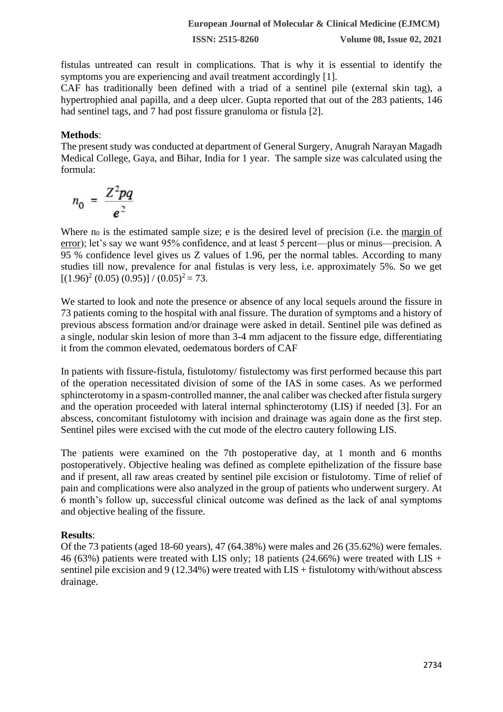fistulas untreated can result in complications. That is why it is essential to identify the symptoms you are experiencing and avail treatment accordingly [1].

CAF has traditionally been defined with a triad of a sentinel pile (external skin tag), a hypertrophied anal papilla, and a deep ulcer. Gupta reported that out of the 283 patients, 146 had sentinel tags, and 7 had post fissure granuloma or fistula [2].

#### **Methods**:

The present study was conducted at department of General Surgery, Anugrah Narayan Magadh Medical College, Gaya, and Bihar, India for 1 year. The sample size was calculated using the [formula:](https://www.statisticshowto.com/wp-content/uploads/2018/01/cochran-1.jpeg)

$$
n_0 = \frac{Z^2pq}{e^2}
$$

Where  $n_0$  is the estimated sample size; e is the desired level of precision (i.e. the margin of [error\)](https://www.statisticshowto.com/probability-and-statistics/hypothesis-testing/margin-of-error/); let's say we want 95% confidence, and at least 5 percent—plus or minus—precision. A 95 % confidence level gives us Z values of 1.96, per the normal tables. According to many studies till now, prevalence for anal fistulas is very less, i.e. approximately 5%. So we get  $[(1.96)^{2} (0.05) (0.95)] / (0.05)^{2} = 73.$ 

We started to look and note the presence or absence of any local sequels around the fissure in 73 patients coming to the hospital with anal fissure. The duration of symptoms and a history of previous abscess formation and/or drainage were asked in detail. Sentinel pile was defined as a single, nodular skin lesion of more than 3-4 mm adjacent to the fissure edge, differentiating it from the common elevated, oedematous borders of CAF

In patients with fissure-fistula, fistulotomy/ fistulectomy was first performed because this part of the operation necessitated division of some of the IAS in some cases. As we performed sphincterotomy in a spasm-controlled manner, the anal caliber was checked after fistula surgery and the operation proceeded with lateral internal sphincterotomy (LIS) if needed [3]. For an abscess, concomitant fistulotomy with incision and drainage was again done as the first step. Sentinel piles were excised with the cut mode of the electro cautery following LIS.

The patients were examined on the 7th postoperative day, at 1 month and 6 months postoperatively. Objective healing was defined as complete epithelization of the fissure base and if present, all raw areas created by sentinel pile excision or fistulotomy. Time of relief of pain and complications were also analyzed in the group of patients who underwent surgery. At 6 month's follow up, successful clinical outcome was defined as the lack of anal symptoms and objective healing of the fissure.

## **Results**:

Of the 73 patients (aged 18-60 years), 47 (64.38%) were males and 26 (35.62%) were females. 46 (63%) patients were treated with LIS only; 18 patients (24.66%) were treated with LIS + sentinel pile excision and 9 (12.34%) were treated with LIS + fistulotomy with/without abscess drainage.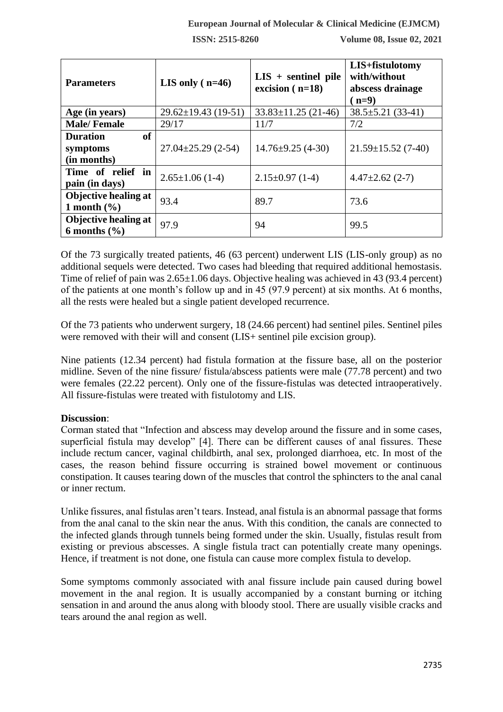#### **European Journal of Molecular & Clinical Medicine (EJMCM)**

**ISSN: 2515-8260 Volume 08, Issue 02, 2021**

| <b>Parameters</b>                                       | LIS only $(n=46)$         | $LIS +$ sentinel pile<br>excision $(n=18)$ | LIS+fistulotomy<br>with/without<br>abscess drainage<br>$(n=9)$ |
|---------------------------------------------------------|---------------------------|--------------------------------------------|----------------------------------------------------------------|
| Age (in years)                                          | $29.62 \pm 19.43$ (19-51) | $33.83 \pm 11.25$ (21-46)                  | $38.5 \pm 5.21$ (33-41)                                        |
| <b>Male/Female</b>                                      | 29/17                     | 11/7                                       | 7/2                                                            |
| <b>of</b><br><b>Duration</b><br>symptoms<br>(in months) | $27.04 \pm 25.29$ (2-54)  | $14.76 \pm 9.25$ (4-30)                    | $21.59 \pm 15.52$ (7-40)                                       |
| Time of relief in<br>pain (in days)                     | $2.65 \pm 1.06$ (1-4)     | $2.15 \pm 0.97$ (1-4)                      | $4.47\pm2.62$ (2-7)                                            |
| Objective healing at<br>1 month $(\% )$                 | 93.4                      | 89.7                                       | 73.6                                                           |
| Objective healing at<br>6 months $(\% )$                | 97.9                      | 94                                         | 99.5                                                           |

Of the 73 surgically treated patients, 46 (63 percent) underwent LIS (LIS-only group) as no additional sequels were detected. Two cases had bleeding that required additional hemostasis. Time of relief of pain was  $2.65\pm1.06$  days. Objective healing was achieved in 43 (93.4 percent) of the patients at one month's follow up and in 45 (97.9 percent) at six months. At 6 months, all the rests were healed but a single patient developed recurrence.

Of the 73 patients who underwent surgery, 18 (24.66 percent) had sentinel piles. Sentinel piles were removed with their will and consent (LIS+ sentinel pile excision group).

Nine patients (12.34 percent) had fistula formation at the fissure base, all on the posterior midline. Seven of the nine fissure/ fistula/abscess patients were male (77.78 percent) and two were females (22.22 percent). Only one of the fissure-fistulas was detected intraoperatively. All fissure-fistulas were treated with fistulotomy and LIS.

## **Discussion**:

Corman stated that "Infection and abscess may develop around the fissure and in some cases, superficial fistula may develop" [4]. There can be different causes of anal fissures. These include rectum cancer, vaginal childbirth, anal sex, prolonged diarrhoea, etc. In most of the cases, the reason behind fissure occurring is strained bowel movement or continuous constipation. It causes tearing down of the muscles that control the sphincters to the anal canal or inner rectum.

Unlike fissures, anal fistulas aren't tears. Instead, anal fistula is an abnormal passage that forms from the anal canal to the skin near the anus. With this condition, the canals are connected to the infected glands through tunnels being formed under the skin. Usually, fistulas result from existing or previous abscesses. A single fistula tract can potentially create many openings. Hence, if treatment is not done, one fistula can cause more complex fistula to develop.

Some symptoms commonly associated with anal fissure include pain caused during bowel movement in the anal region. It is usually accompanied by a constant burning or itching sensation in and around the anus along with bloody stool. There are usually visible cracks and tears around the anal region as well.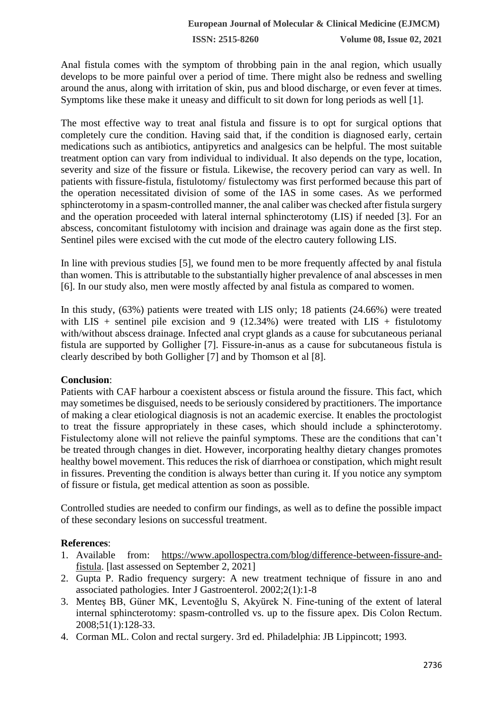**ISSN: 2515-8260 Volume 08, Issue 02, 2021**

Anal fistula comes with the symptom of throbbing pain in the anal region, which usually develops to be more painful over a period of time. There might also be redness and swelling around the anus, along with irritation of skin, pus and blood discharge, or even fever at times. Symptoms like these make it uneasy and difficult to sit down for long periods as well [1].

The most effective way to treat anal fistula and fissure is to opt for surgical options that completely cure the condition. Having said that, if the condition is diagnosed early, certain medications such as antibiotics, antipyretics and analgesics can be helpful. The most suitable treatment option can vary from individual to individual. It also depends on the type, location, severity and size of the fissure or fistula. Likewise, the recovery period can vary as well. In patients with fissure-fistula, fistulotomy/ fistulectomy was first performed because this part of the operation necessitated division of some of the IAS in some cases. As we performed sphincterotomy in a spasm-controlled manner, the anal caliber was checked after fistula surgery and the operation proceeded with lateral internal sphincterotomy (LIS) if needed [3]. For an abscess, concomitant fistulotomy with incision and drainage was again done as the first step. Sentinel piles were excised with the cut mode of the electro cautery following LIS.

In line with previous studies [5], we found men to be more frequently affected by anal fistula than women. This is attributable to the substantially higher prevalence of anal abscesses in men [6]. In our study also, men were mostly affected by anal fistula as compared to women.

In this study, (63%) patients were treated with LIS only; 18 patients (24.66%) were treated with LIS + sentinel pile excision and 9 (12.34%) were treated with LIS + fistulotomy with/without abscess drainage. Infected anal crypt glands as a cause for subcutaneous perianal fistula are supported by Golligher [7]. Fissure-in-anus as a cause for subcutaneous fistula is clearly described by both Golligher [7] and by Thomson et al [8].

## **Conclusion**:

Patients with CAF harbour a coexistent abscess or fistula around the fissure. This fact, which may sometimes be disguised, needs to be seriously considered by practitioners. The importance of making a clear etiological diagnosis is not an academic exercise. It enables the proctologist to treat the fissure appropriately in these cases, which should include a sphincterotomy. Fistulectomy alone will not relieve the painful symptoms. These are the conditions that can't be treated through changes in diet. However, incorporating healthy dietary changes promotes healthy bowel movement. This reduces the risk of diarrhoea or constipation, which might result in fissures. Preventing the condition is always better than curing it. If you notice any symptom of fissure or fistula, get medical attention as soon as possible.

Controlled studies are needed to confirm our findings, as well as to define the possible impact of these secondary lesions on successful treatment.

#### **References**:

- 1. Available from: [https://www.apollospectra.com/blog/difference-between-fissure-and](https://www.apollospectra.com/blog/difference-between-fissure-and-fistula)[fistula.](https://www.apollospectra.com/blog/difference-between-fissure-and-fistula) [last assessed on September 2, 2021]
- 2. Gupta P. Radio frequency surgery: A new treatment technique of fissure in ano and associated pathologies. Inter J Gastroenterol. 2002;2(1):1-8
- 3. Menteş BB, Güner MK, Leventoğlu S, Akyürek N. Fine-tuning of the extent of lateral internal sphincterotomy: spasm-controlled vs. up to the fissure apex. Dis Colon Rectum. 2008;51(1):128-33.
- 4. Corman ML. Colon and rectal surgery. 3rd ed. Philadelphia: JB Lippincott; 1993.